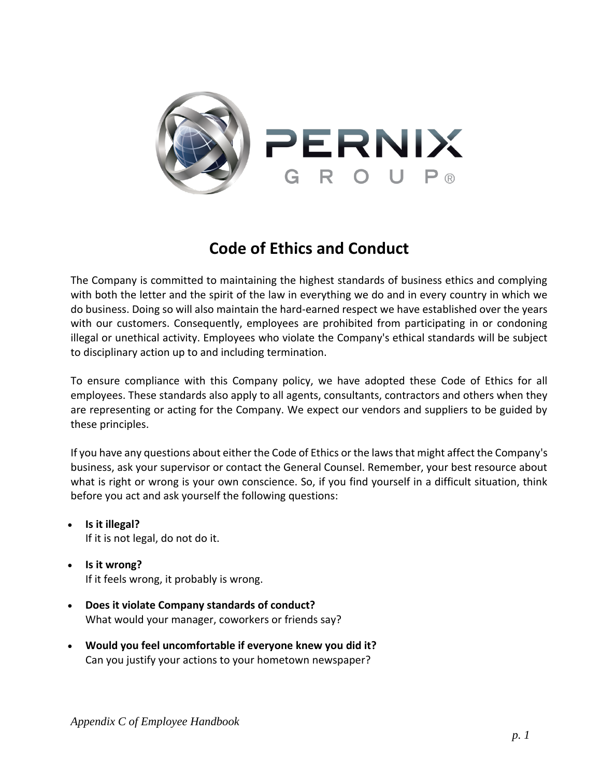

# **Code of Ethics and Conduct**

The Company is committed to maintaining the highest standards of business ethics and complying with both the letter and the spirit of the law in everything we do and in every country in which we do business. Doing so will also maintain the hard-earned respect we have established over the years with our customers. Consequently, employees are prohibited from participating in or condoning illegal or unethical activity. Employees who violate the Company's ethical standards will be subject to disciplinary action up to and including termination.

To ensure compliance with this Company policy, we have adopted these Code of Ethics for all employees. These standards also apply to all agents, consultants, contractors and others when they are representing or acting for the Company. We expect our vendors and suppliers to be guided by these principles.

If you have any questions about either the Code of Ethics or the laws that might affect the Company's business, ask your supervisor or contact the General Counsel. Remember, your best resource about what is right or wrong is your own conscience. So, if you find yourself in a difficult situation, think before you act and ask yourself the following questions:

- **Is it illegal?** If it is not legal, do not do it.
- **Is it wrong?** If it feels wrong, it probably is wrong.
- **Does it violate Company standards of conduct?** What would your manager, coworkers or friends say?
- **Would you feel uncomfortable if everyone knew you did it?** Can you justify your actions to your hometown newspaper?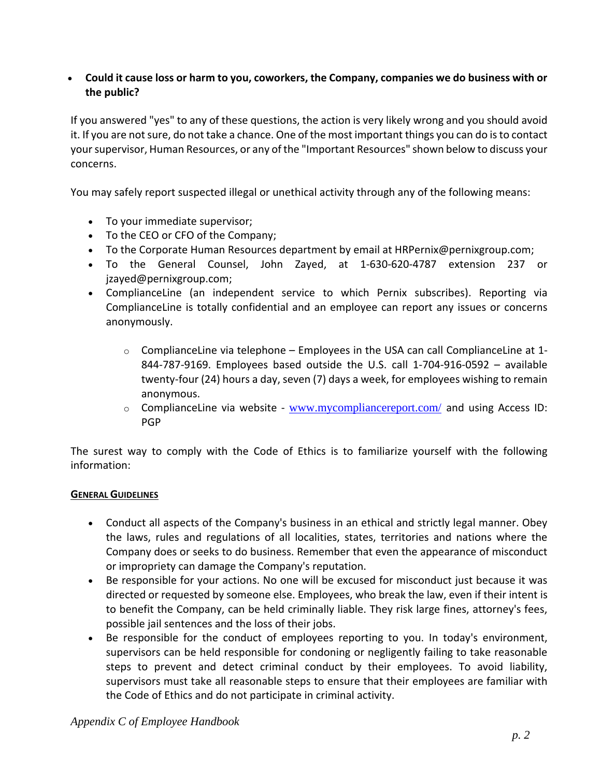## **Could it cause loss or harm to you, coworkers, the Company, companies we do business with or the public?**

If you answered "yes" to any of these questions, the action is very likely wrong and you should avoid it. If you are not sure, do not take a chance. One of the most important things you can do is to contact your supervisor, Human Resources, or any of the "Important Resources" shown below to discuss your concerns.

You may safely report suspected illegal or unethical activity through any of the following means:

- To your immediate supervisor;
- To the CEO or CFO of the Company;
- To the Corporate Human Resources department by email at HRPernix@pernixgroup.com;
- To the General Counsel, John Zayed, at 1-630-620-4787 extension 237 or [jzayed@pernixgroup.com;](mailto:jzayed@pernixgroup.com)
- ComplianceLine (an independent service to which Pernix subscribes). Reporting via ComplianceLine is totally confidential and an employee can report any issues or concerns anonymously.
	- $\circ$  ComplianceLine via telephone Employees in the USA can call ComplianceLine at 1-844-787-9169. Employees based outside the U.S. call 1-704-916-0592 – available twenty-four (24) hours a day, seven (7) days a week, for employees wishing to remain anonymous.
	- $\circ$  ComplianceLine via website [www.mycompliancereport.com/](http://www.mycompliancereport.com/) and using Access ID: PGP

The surest way to comply with the Code of Ethics is to familiarize yourself with the following information:

#### **GENERAL GUIDELINES**

- Conduct all aspects of the Company's business in an ethical and strictly legal manner. Obey the laws, rules and regulations of all localities, states, territories and nations where the Company does or seeks to do business. Remember that even the appearance of misconduct or impropriety can damage the Company's reputation.
- Be responsible for your actions. No one will be excused for misconduct just because it was directed or requested by someone else. Employees, who break the law, even if their intent is to benefit the Company, can be held criminally liable. They risk large fines, attorney's fees, possible jail sentences and the loss of their jobs.
- Be responsible for the conduct of employees reporting to you. In today's environment, supervisors can be held responsible for condoning or negligently failing to take reasonable steps to prevent and detect criminal conduct by their employees. To avoid liability, supervisors must take all reasonable steps to ensure that their employees are familiar with the Code of Ethics and do not participate in criminal activity.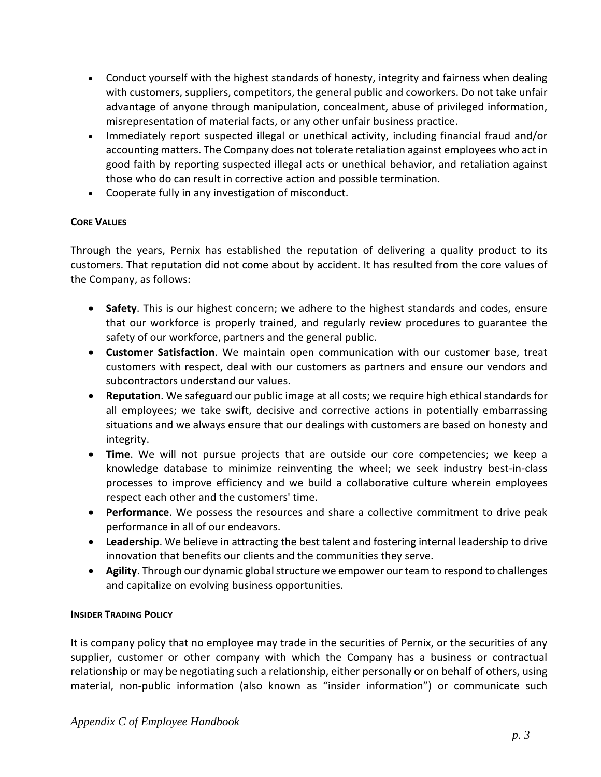- Conduct yourself with the highest standards of honesty, integrity and fairness when dealing with customers, suppliers, competitors, the general public and coworkers. Do not take unfair advantage of anyone through manipulation, concealment, abuse of privileged information, misrepresentation of material facts, or any other unfair business practice.
- Immediately report suspected illegal or unethical activity, including financial fraud and/or accounting matters. The Company does not tolerate retaliation against employees who act in good faith by reporting suspected illegal acts or unethical behavior, and retaliation against those who do can result in corrective action and possible termination.
- Cooperate fully in any investigation of misconduct.

## **CORE VALUES**

Through the years, Pernix has established the reputation of delivering a quality product to its customers. That reputation did not come about by accident. It has resulted from the core values of the Company, as follows:

- **Safety**. This is our highest concern; we adhere to the highest standards and codes, ensure that our workforce is properly trained, and regularly review procedures to guarantee the safety of our workforce, partners and the general public.
- **Customer Satisfaction**. We maintain open communication with our customer base, treat customers with respect, deal with our customers as partners and ensure our vendors and subcontractors understand our values.
- **Reputation**. We safeguard our public image at all costs; we require high ethical standards for all employees; we take swift, decisive and corrective actions in potentially embarrassing situations and we always ensure that our dealings with customers are based on honesty and integrity.
- **Time**. We will not pursue projects that are outside our core competencies; we keep a knowledge database to minimize reinventing the wheel; we seek industry best-in-class processes to improve efficiency and we build a collaborative culture wherein employees respect each other and the customers' time.
- **Performance**. We possess the resources and share a collective commitment to drive peak performance in all of our endeavors.
- **Leadership**. We believe in attracting the best talent and fostering internal leadership to drive innovation that benefits our clients and the communities they serve.
- **Agility**. Through our dynamic global structure we empower our team to respond to challenges and capitalize on evolving business opportunities.

## **INSIDER TRADING POLICY**

It is company policy that no employee may trade in the securities of Pernix, or the securities of any supplier, customer or other company with which the Company has a business or contractual relationship or may be negotiating such a relationship, either personally or on behalf of others, using material, non-public information (also known as "insider information") or communicate such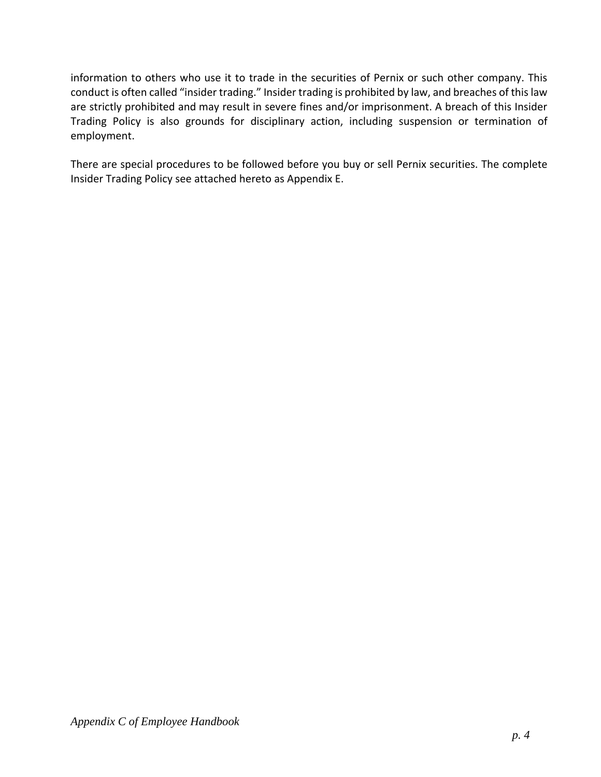information to others who use it to trade in the securities of Pernix or such other company. This conduct is often called "insider trading." Insider trading is prohibited by law, and breaches of this law are strictly prohibited and may result in severe fines and/or imprisonment. A breach of this Insider Trading Policy is also grounds for disciplinary action, including suspension or termination of employment.

There are special procedures to be followed before you buy or sell Pernix securities. The complete Insider Trading Policy see attached hereto as Appendix E.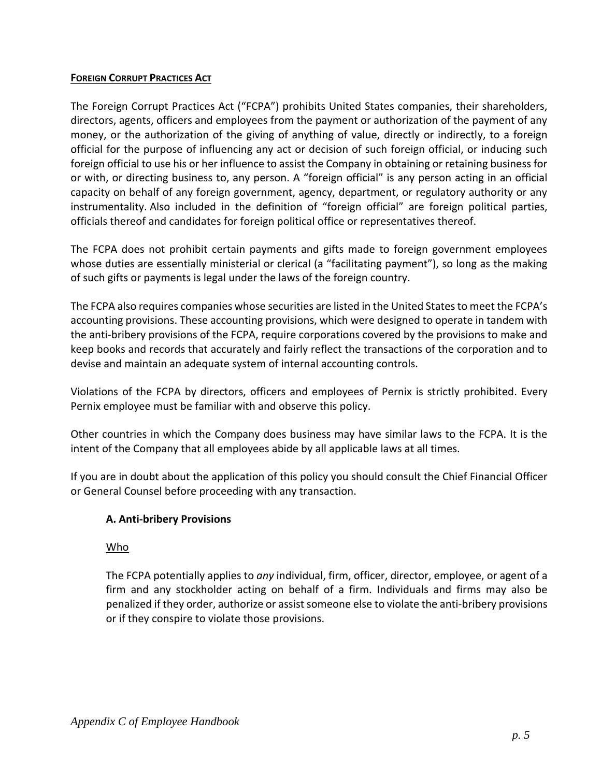#### **FOREIGN CORRUPT PRACTICES ACT**

The Foreign Corrupt Practices Act ("FCPA") prohibits United States companies, their shareholders, directors, agents, officers and employees from the payment or authorization of the payment of any money, or the authorization of the giving of anything of value, directly or indirectly, to a foreign official for the purpose of influencing any act or decision of such foreign official, or inducing such foreign official to use his or her influence to assist the Company in obtaining or retaining business for or with, or directing business to, any person. A "foreign official" is any person acting in an official capacity on behalf of any foreign government, agency, department, or regulatory authority or any instrumentality. Also included in the definition of "foreign official" are foreign political parties, officials thereof and candidates for foreign political office or representatives thereof.

The FCPA does not prohibit certain payments and gifts made to foreign government employees whose duties are essentially ministerial or clerical (a "facilitating payment"), so long as the making of such gifts or payments is legal under the laws of the foreign country.

The FCPA also requires companies whose securities are listed in the United States to meet the FCPA's accounting provisions. These accounting provisions, which were designed to operate in tandem with the anti-bribery provisions of the FCPA, require corporations covered by the provisions to make and keep books and records that accurately and fairly reflect the transactions of the corporation and to devise and maintain an adequate system of internal accounting controls.

Violations of the FCPA by directors, officers and employees of Pernix is strictly prohibited. Every Pernix employee must be familiar with and observe this policy.

Other countries in which the Company does business may have similar laws to the FCPA. It is the intent of the Company that all employees abide by all applicable laws at all times.

If you are in doubt about the application of this policy you should consult the Chief Financial Officer or General Counsel before proceeding with any transaction.

## **A. Anti-bribery Provisions**

## Who

The FCPA potentially applies to *any* individual, firm, officer, director, employee, or agent of a firm and any stockholder acting on behalf of a firm. Individuals and firms may also be penalized if they order, authorize or assist someone else to violate the anti-bribery provisions or if they conspire to violate those provisions.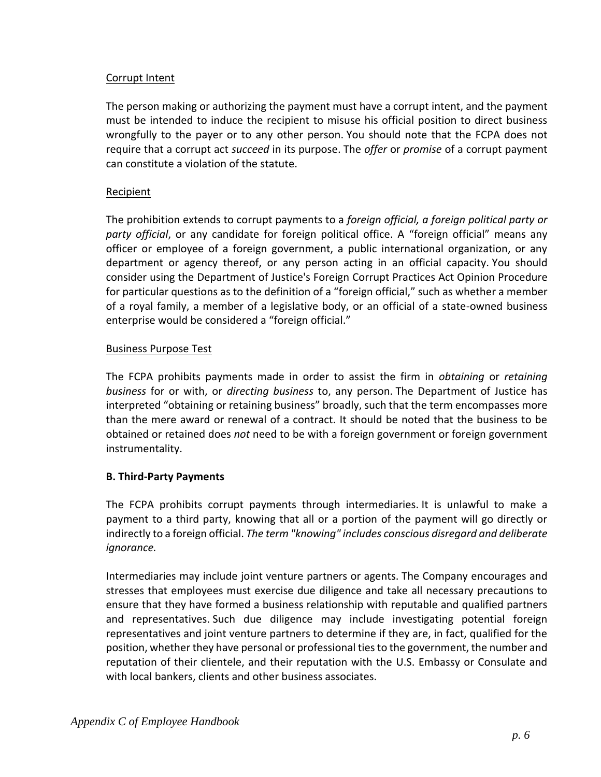## Corrupt Intent

The person making or authorizing the payment must have a corrupt intent, and the payment must be intended to induce the recipient to misuse his official position to direct business wrongfully to the payer or to any other person. You should note that the FCPA does not require that a corrupt act *succeed* in its purpose. The *offer* or *promise* of a corrupt payment can constitute a violation of the statute.

## Recipient

The prohibition extends to corrupt payments to a *foreign official, a foreign political party or party official*, or any candidate for foreign political office. A "foreign official" means any officer or employee of a foreign government, a public international organization, or any department or agency thereof, or any person acting in an official capacity. You should consider using the Department of Justice's Foreign Corrupt Practices Act Opinion Procedure for particular questions as to the definition of a "foreign official," such as whether a member of a royal family, a member of a legislative body, or an official of a state-owned business enterprise would be considered a "foreign official."

## Business Purpose Test

The FCPA prohibits payments made in order to assist the firm in *obtaining* or *retaining business* for or with, or *directing business* to, any person. The Department of Justice has interpreted "obtaining or retaining business" broadly, such that the term encompasses more than the mere award or renewal of a contract. It should be noted that the business to be obtained or retained does *not* need to be with a foreign government or foreign government instrumentality.

# **B. Third-Party Payments**

The FCPA prohibits corrupt payments through intermediaries. It is unlawful to make a payment to a third party, knowing that all or a portion of the payment will go directly or indirectly to a foreign official. *The term "knowing" includes conscious disregard and deliberate ignorance.*

Intermediaries may include joint venture partners or agents. The Company encourages and stresses that employees must exercise due diligence and take all necessary precautions to ensure that they have formed a business relationship with reputable and qualified partners and representatives. Such due diligence may include investigating potential foreign representatives and joint venture partners to determine if they are, in fact, qualified for the position, whether they have personal or professional ties to the government, the number and reputation of their clientele, and their reputation with the U.S. Embassy or Consulate and with local bankers, clients and other business associates.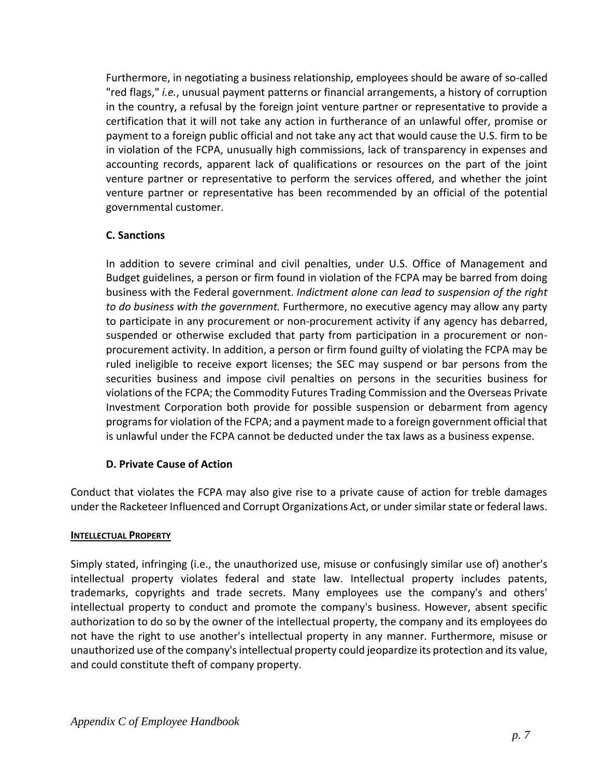Furthermore, in negotiating a business relationship, employees should be aware of so-called "red flags," *i.e.*, unusual payment patterns or financial arrangements, a history of corruption in the country, a refusal by the foreign joint venture partner or representative to provide a certification that it will not take any action in furtherance of an unlawful offer, promise or payment to a foreign public official and not take any act that would cause the U.S. firm to be in violation of the FCPA, unusually high commissions, lack of transparency in expenses and accounting records, apparent lack of qualifications or resources on the part of the joint venture partner or representative to perform the services offered, and whether the joint venture partner or representative has been recommended by an official of the potential governmental customer.

## **C. Sanctions**

In addition to severe criminal and civil penalties, under U.S. Office of Management and Budget guidelines, a person or firm found in violation of the FCPA may be barred from doing business with the Federal government. *Indictment alone can lead to suspension of the right to do business with the government.* Furthermore, no executive agency may allow any party to participate in any procurement or non-procurement activity if any agency has debarred, suspended or otherwise excluded that party from participation in a procurement or nonprocurement activity. In addition, a person or firm found guilty of violating the FCPA may be ruled ineligible to receive export licenses; the SEC may suspend or bar persons from the securities business and impose civil penalties on persons in the securities business for violations of the FCPA; the Commodity Futures Trading Commission and the Overseas Private Investment Corporation both provide for possible suspension or debarment from agency programs for violation of the FCPA; and a payment made to a foreign government official that is unlawful under the FCPA cannot be deducted under the tax laws as a business expense.

# **D. Private Cause of Action**

Conduct that violates the FCPA may also give rise to a private cause of action for treble damages under the Racketeer Influenced and Corrupt Organizations Act, or under similar state or federal laws.

## **INTELLECTUAL PROPERTY**

Simply stated, infringing (i.e., the unauthorized use, misuse or confusingly similar use of) another's intellectual property violates federal and state law. Intellectual property includes patents, trademarks, copyrights and trade secrets. Many employees use the company's and others' intellectual property to conduct and promote the company's business. However, absent specific authorization to do so by the owner of the intellectual property, the company and its employees do not have the right to use another's intellectual property in any manner. Furthermore, misuse or unauthorized use of the company's intellectual property could jeopardize its protection and its value, and could constitute theft of company property.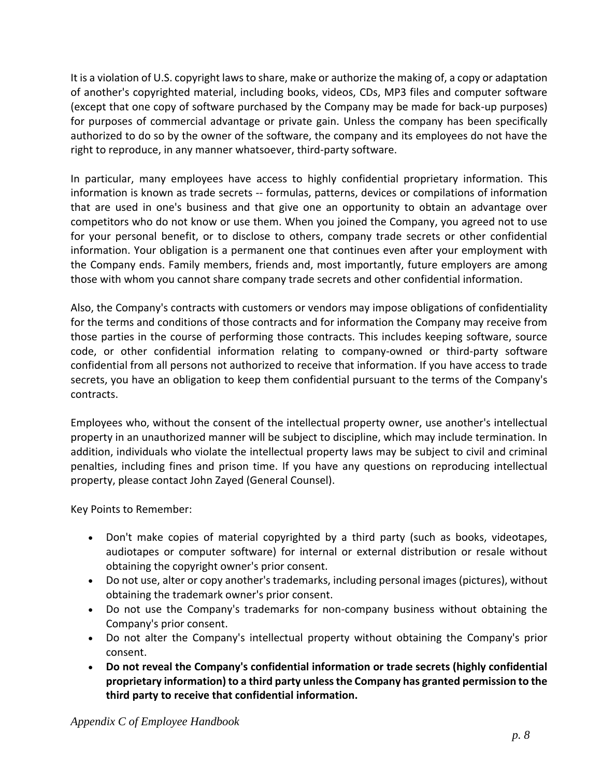It is a violation of U.S. copyright laws to share, make or authorize the making of, a copy or adaptation of another's copyrighted material, including books, videos, CDs, MP3 files and computer software (except that one copy of software purchased by the Company may be made for back-up purposes) for purposes of commercial advantage or private gain. Unless the company has been specifically authorized to do so by the owner of the software, the company and its employees do not have the right to reproduce, in any manner whatsoever, third-party software.

In particular, many employees have access to highly confidential proprietary information. This information is known as trade secrets -- formulas, patterns, devices or compilations of information that are used in one's business and that give one an opportunity to obtain an advantage over competitors who do not know or use them. When you joined the Company, you agreed not to use for your personal benefit, or to disclose to others, company trade secrets or other confidential information. Your obligation is a permanent one that continues even after your employment with the Company ends. Family members, friends and, most importantly, future employers are among those with whom you cannot share company trade secrets and other confidential information.

Also, the Company's contracts with customers or vendors may impose obligations of confidentiality for the terms and conditions of those contracts and for information the Company may receive from those parties in the course of performing those contracts. This includes keeping software, source code, or other confidential information relating to company-owned or third-party software confidential from all persons not authorized to receive that information. If you have access to trade secrets, you have an obligation to keep them confidential pursuant to the terms of the Company's contracts.

Employees who, without the consent of the intellectual property owner, use another's intellectual property in an unauthorized manner will be subject to discipline, which may include termination. In addition, individuals who violate the intellectual property laws may be subject to civil and criminal penalties, including fines and prison time. If you have any questions on reproducing intellectual property, please contact John Zayed (General Counsel).

Key Points to Remember:

- Don't make copies of material copyrighted by a third party (such as books, videotapes, audiotapes or computer software) for internal or external distribution or resale without obtaining the copyright owner's prior consent.
- Do not use, alter or copy another's trademarks, including personal images (pictures), without obtaining the trademark owner's prior consent.
- Do not use the Company's trademarks for non-company business without obtaining the Company's prior consent.
- Do not alter the Company's intellectual property without obtaining the Company's prior consent.
- **Do not reveal the Company's confidential information or trade secrets (highly confidential proprietary information) to a third party unless the Company has granted permission to the third party to receive that confidential information.**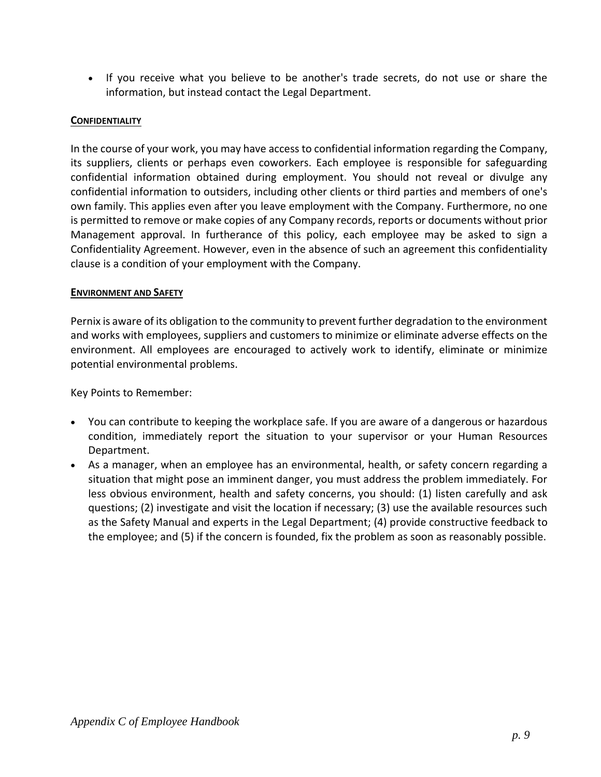• If you receive what you believe to be another's trade secrets, do not use or share the information, but instead contact the Legal Department.

## **CONFIDENTIALITY**

In the course of your work, you may have access to confidential information regarding the Company, its suppliers, clients or perhaps even coworkers. Each employee is responsible for safeguarding confidential information obtained during employment. You should not reveal or divulge any confidential information to outsiders, including other clients or third parties and members of one's own family. This applies even after you leave employment with the Company. Furthermore, no one is permitted to remove or make copies of any Company records, reports or documents without prior Management approval. In furtherance of this policy, each employee may be asked to sign a Confidentiality Agreement. However, even in the absence of such an agreement this confidentiality clause is a condition of your employment with the Company.

#### **ENVIRONMENT AND SAFETY**

Pernix is aware of its obligation to the community to prevent further degradation to the environment and works with employees, suppliers and customers to minimize or eliminate adverse effects on the environment. All employees are encouraged to actively work to identify, eliminate or minimize potential environmental problems.

Key Points to Remember:

- You can contribute to keeping the workplace safe. If you are aware of a dangerous or hazardous condition, immediately report the situation to your supervisor or your Human Resources Department.
- As a manager, when an employee has an environmental, health, or safety concern regarding a situation that might pose an imminent danger, you must address the problem immediately. For less obvious environment, health and safety concerns, you should: (1) listen carefully and ask questions; (2) investigate and visit the location if necessary; (3) use the available resources such as the Safety Manual and experts in the Legal Department; (4) provide constructive feedback to the employee; and (5) if the concern is founded, fix the problem as soon as reasonably possible.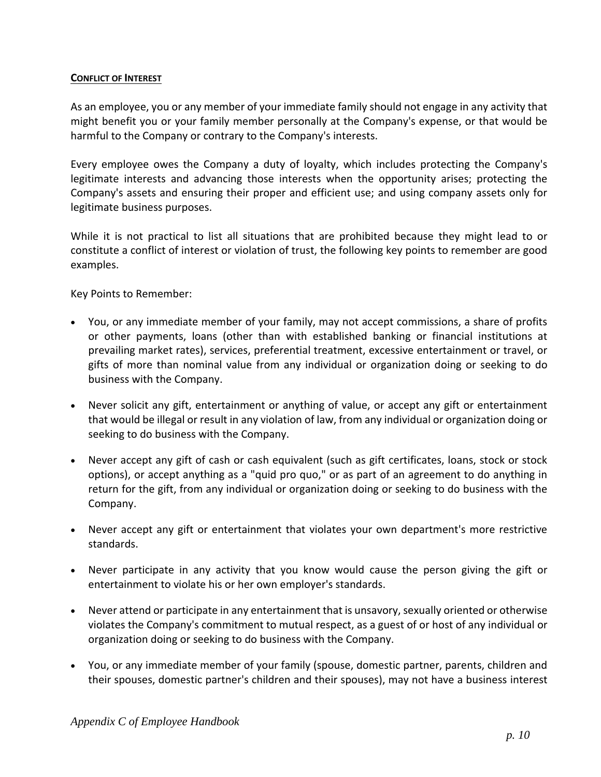#### **CONFLICT OF INTEREST**

As an employee, you or any member of your immediate family should not engage in any activity that might benefit you or your family member personally at the Company's expense, or that would be harmful to the Company or contrary to the Company's interests.

Every employee owes the Company a duty of loyalty, which includes protecting the Company's legitimate interests and advancing those interests when the opportunity arises; protecting the Company's assets and ensuring their proper and efficient use; and using company assets only for legitimate business purposes.

While it is not practical to list all situations that are prohibited because they might lead to or constitute a conflict of interest or violation of trust, the following key points to remember are good examples.

Key Points to Remember:

- You, or any immediate member of your family, may not accept commissions, a share of profits or other payments, loans (other than with established banking or financial institutions at prevailing market rates), services, preferential treatment, excessive entertainment or travel, or gifts of more than nominal value from any individual or organization doing or seeking to do business with the Company.
- Never solicit any gift, entertainment or anything of value, or accept any gift or entertainment that would be illegal or result in any violation of law, from any individual or organization doing or seeking to do business with the Company.
- Never accept any gift of cash or cash equivalent (such as gift certificates, loans, stock or stock options), or accept anything as a "quid pro quo," or as part of an agreement to do anything in return for the gift, from any individual or organization doing or seeking to do business with the Company.
- Never accept any gift or entertainment that violates your own department's more restrictive standards.
- Never participate in any activity that you know would cause the person giving the gift or entertainment to violate his or her own employer's standards.
- Never attend or participate in any entertainment that is unsavory, sexually oriented or otherwise violates the Company's commitment to mutual respect, as a guest of or host of any individual or organization doing or seeking to do business with the Company.
- You, or any immediate member of your family (spouse, domestic partner, parents, children and their spouses, domestic partner's children and their spouses), may not have a business interest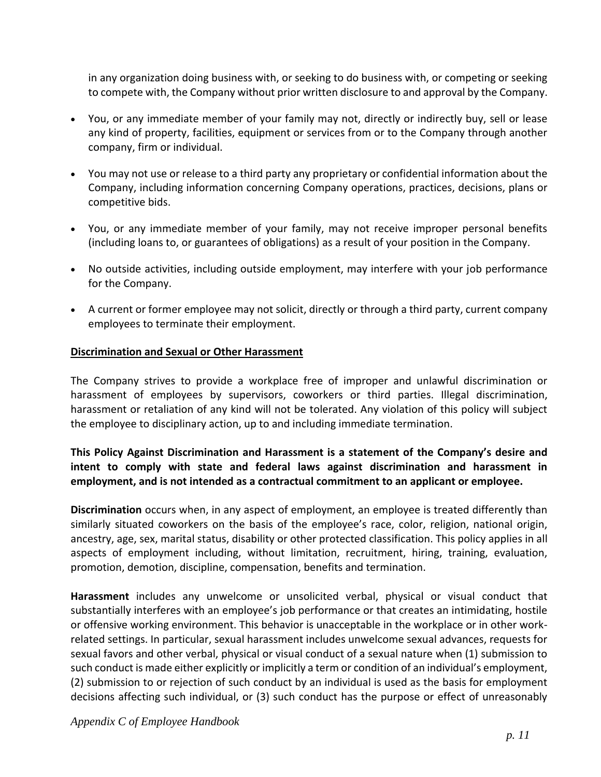in any organization doing business with, or seeking to do business with, or competing or seeking to compete with, the Company without prior written disclosure to and approval by the Company.

- You, or any immediate member of your family may not, directly or indirectly buy, sell or lease any kind of property, facilities, equipment or services from or to the Company through another company, firm or individual.
- You may not use or release to a third party any proprietary or confidential information about the Company, including information concerning Company operations, practices, decisions, plans or competitive bids.
- You, or any immediate member of your family, may not receive improper personal benefits (including loans to, or guarantees of obligations) as a result of your position in the Company.
- No outside activities, including outside employment, may interfere with your job performance for the Company.
- A current or former employee may not solicit, directly or through a third party, current company employees to terminate their employment.

## **Discrimination and Sexual or Other Harassment**

The Company strives to provide a workplace free of improper and unlawful discrimination or harassment of employees by supervisors, coworkers or third parties. Illegal discrimination, harassment or retaliation of any kind will not be tolerated. Any violation of this policy will subject the employee to disciplinary action, up to and including immediate termination.

## **This Policy Against Discrimination and Harassment is a statement of the Company's desire and intent to comply with state and federal laws against discrimination and harassment in employment, and is not intended as a contractual commitment to an applicant or employee.**

**Discrimination** occurs when, in any aspect of employment, an employee is treated differently than similarly situated coworkers on the basis of the employee's race, color, religion, national origin, ancestry, age, sex, marital status, disability or other protected classification. This policy applies in all aspects of employment including, without limitation, recruitment, hiring, training, evaluation, promotion, demotion, discipline, compensation, benefits and termination.

**Harassment** includes any unwelcome or unsolicited verbal, physical or visual conduct that substantially interferes with an employee's job performance or that creates an intimidating, hostile or offensive working environment. This behavior is unacceptable in the workplace or in other workrelated settings. In particular, sexual harassment includes unwelcome sexual advances, requests for sexual favors and other verbal, physical or visual conduct of a sexual nature when (1) submission to such conduct is made either explicitly or implicitly a term or condition of an individual's employment, (2) submission to or rejection of such conduct by an individual is used as the basis for employment decisions affecting such individual, or (3) such conduct has the purpose or effect of unreasonably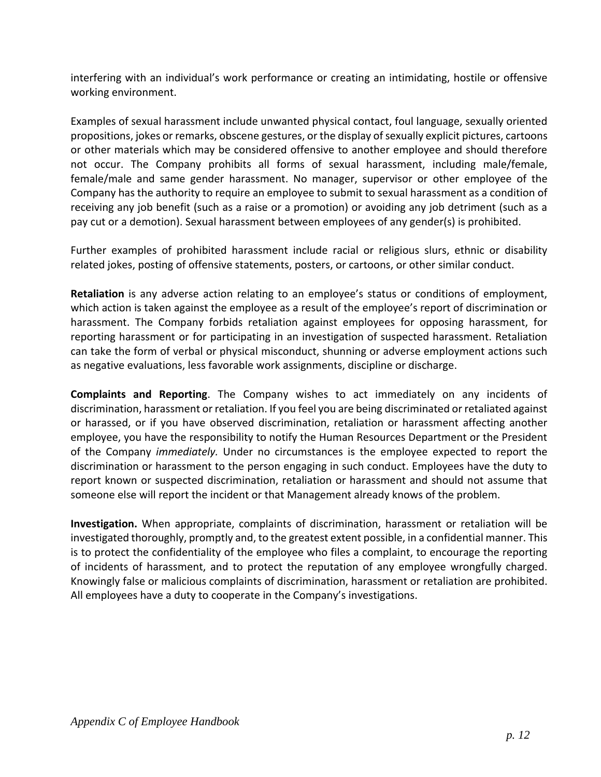interfering with an individual's work performance or creating an intimidating, hostile or offensive working environment.

Examples of sexual harassment include unwanted physical contact, foul language, sexually oriented propositions, jokes or remarks, obscene gestures, or the display of sexually explicit pictures, cartoons or other materials which may be considered offensive to another employee and should therefore not occur. The Company prohibits all forms of sexual harassment, including male/female, female/male and same gender harassment. No manager, supervisor or other employee of the Company has the authority to require an employee to submit to sexual harassment as a condition of receiving any job benefit (such as a raise or a promotion) or avoiding any job detriment (such as a pay cut or a demotion). Sexual harassment between employees of any gender(s) is prohibited.

Further examples of prohibited harassment include racial or religious slurs, ethnic or disability related jokes, posting of offensive statements, posters, or cartoons, or other similar conduct.

**Retaliation** is any adverse action relating to an employee's status or conditions of employment, which action is taken against the employee as a result of the employee's report of discrimination or harassment. The Company forbids retaliation against employees for opposing harassment, for reporting harassment or for participating in an investigation of suspected harassment. Retaliation can take the form of verbal or physical misconduct, shunning or adverse employment actions such as negative evaluations, less favorable work assignments, discipline or discharge.

**Complaints and Reporting**. The Company wishes to act immediately on any incidents of discrimination, harassment or retaliation. If you feel you are being discriminated or retaliated against or harassed, or if you have observed discrimination, retaliation or harassment affecting another employee, you have the responsibility to notify the Human Resources Department or the President of the Company *immediately.* Under no circumstances is the employee expected to report the discrimination or harassment to the person engaging in such conduct. Employees have the duty to report known or suspected discrimination, retaliation or harassment and should not assume that someone else will report the incident or that Management already knows of the problem.

**Investigation.** When appropriate, complaints of discrimination, harassment or retaliation will be investigated thoroughly, promptly and, to the greatest extent possible, in a confidential manner. This is to protect the confidentiality of the employee who files a complaint, to encourage the reporting of incidents of harassment, and to protect the reputation of any employee wrongfully charged. Knowingly false or malicious complaints of discrimination, harassment or retaliation are prohibited. All employees have a duty to cooperate in the Company's investigations.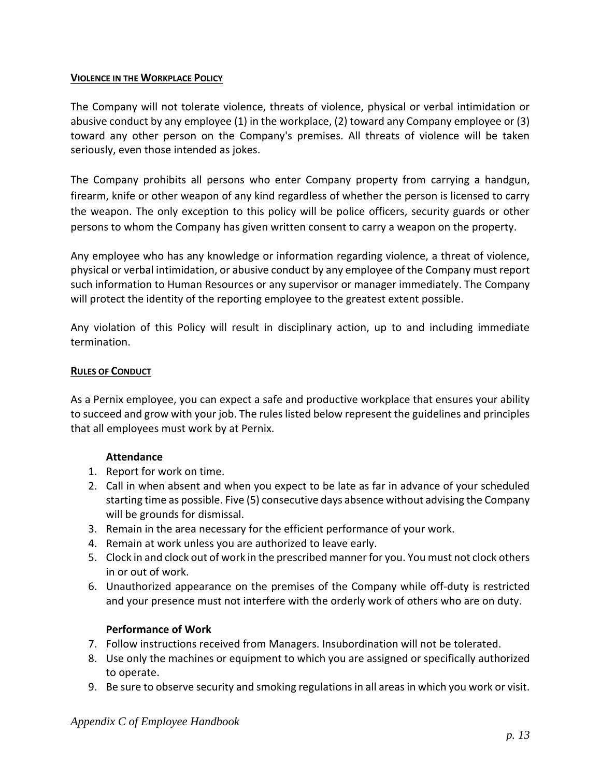#### **VIOLENCE IN THE WORKPLACE POLICY**

The Company will not tolerate violence, threats of violence, physical or verbal intimidation or abusive conduct by any employee (1) in the workplace, (2) toward any Company employee or (3) toward any other person on the Company's premises. All threats of violence will be taken seriously, even those intended as jokes.

The Company prohibits all persons who enter Company property from carrying a handgun, firearm, knife or other weapon of any kind regardless of whether the person is licensed to carry the weapon. The only exception to this policy will be police officers, security guards or other persons to whom the Company has given written consent to carry a weapon on the property.

Any employee who has any knowledge or information regarding violence, a threat of violence, physical or verbal intimidation, or abusive conduct by any employee of the Company must report such information to Human Resources or any supervisor or manager immediately. The Company will protect the identity of the reporting employee to the greatest extent possible.

Any violation of this Policy will result in disciplinary action, up to and including immediate termination.

#### **RULES OF CONDUCT**

As a Pernix employee, you can expect a safe and productive workplace that ensures your ability to succeed and grow with your job. The rules listed below represent the guidelines and principles that all employees must work by at Pernix.

## **Attendance**

- 1. Report for work on time.
- 2. Call in when absent and when you expect to be late as far in advance of your scheduled starting time as possible. Five (5) consecutive days absence without advising the Company will be grounds for dismissal.
- 3. Remain in the area necessary for the efficient performance of your work.
- 4. Remain at work unless you are authorized to leave early.
- 5. Clock in and clock out of work in the prescribed manner for you. You must not clock others in or out of work.
- 6. Unauthorized appearance on the premises of the Company while off-duty is restricted and your presence must not interfere with the orderly work of others who are on duty.

## **Performance of Work**

- 7. Follow instructions received from Managers. Insubordination will not be tolerated.
- 8. Use only the machines or equipment to which you are assigned or specifically authorized to operate.
- 9. Be sure to observe security and smoking regulations in all areas in which you work or visit.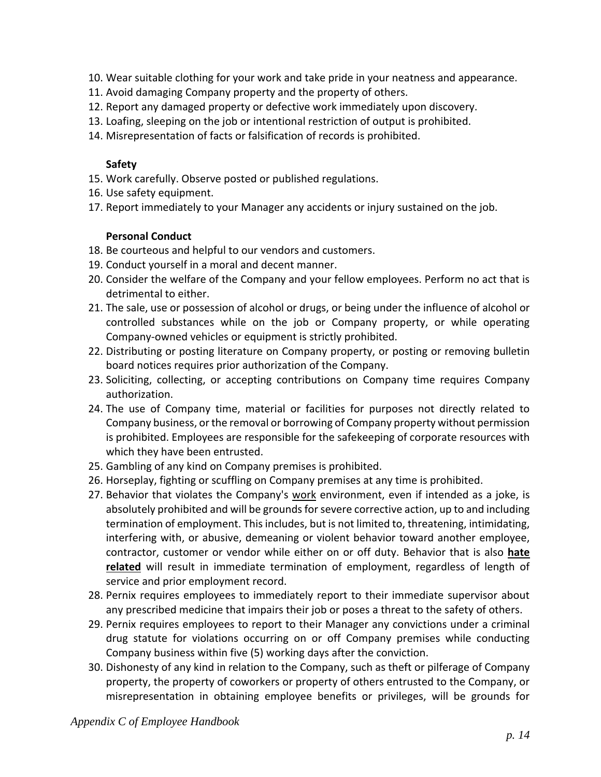- 10. Wear suitable clothing for your work and take pride in your neatness and appearance.
- 11. Avoid damaging Company property and the property of others.
- 12. Report any damaged property or defective work immediately upon discovery.
- 13. Loafing, sleeping on the job or intentional restriction of output is prohibited.
- 14. Misrepresentation of facts or falsification of records is prohibited.

#### **Safety**

- 15. Work carefully. Observe posted or published regulations.
- 16. Use safety equipment.
- 17. Report immediately to your Manager any accidents or injury sustained on the job.

#### **Personal Conduct**

- 18. Be courteous and helpful to our vendors and customers.
- 19. Conduct yourself in a moral and decent manner.
- 20. Consider the welfare of the Company and your fellow employees. Perform no act that is detrimental to either.
- 21. The sale, use or possession of alcohol or drugs, or being under the influence of alcohol or controlled substances while on the job or Company property, or while operating Company-owned vehicles or equipment is strictly prohibited.
- 22. Distributing or posting literature on Company property, or posting or removing bulletin board notices requires prior authorization of the Company.
- 23. Soliciting, collecting, or accepting contributions on Company time requires Company authorization.
- 24. The use of Company time, material or facilities for purposes not directly related to Company business, or the removal or borrowing of Company property without permission is prohibited. Employees are responsible for the safekeeping of corporate resources with which they have been entrusted.
- 25. Gambling of any kind on Company premises is prohibited.
- 26. Horseplay, fighting or scuffling on Company premises at any time is prohibited.
- 27. Behavior that violates the Company's [work](https://ehrkb.ihost.com/aa/document.do?XML=111) environment, even if intended as a joke, is absolutely prohibited and will be grounds for severe corrective action, up to and including termination of employment. This includes, but is not limited to, threatening, intimidating, interfering with, or abusive, demeaning or violent behavior toward another employee, contractor, customer or vendor while either on or off duty. Behavior that is also **[hate](https://ehrkb.ihost.com/aa/document.jsp?DOC=KBDOC/AAI10156.xml)  [related](https://ehrkb.ihost.com/aa/document.jsp?DOC=KBDOC/AAI10156.xml)** will result in immediate termination of employment, regardless of length of service and prior employment record.
- 28. Pernix requires employees to immediately report to their immediate supervisor about any prescribed medicine that impairs their job or poses a threat to the safety of others.
- 29. Pernix requires employees to report to their Manager any convictions under a criminal drug statute for violations occurring on or off Company premises while conducting Company business within five (5) working days after the conviction.
- 30. Dishonesty of any kind in relation to the Company, such as theft or pilferage of Company property, the property of coworkers or property of others entrusted to the Company, or misrepresentation in obtaining employee benefits or privileges, will be grounds for